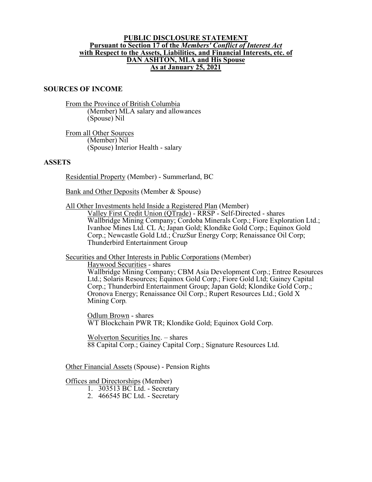## **PUBLIC DISCLOSURE STATEMENT Pursuant to Section 17 of the** *Members' Conflict of Interest Act* **with Respect to the Assets, Liabilities, and Financial Interests, etc. of DAN ASHTON, MLA and His Spouse As at January 25, 2021**

## **SOURCES OF INCOME**

From the Province of British Columbia (Member) MLA salary and allowances (Spouse) Nil

From all Other Sources (Member) Nil (Spouse) Interior Health - salary

## **ASSETS**

Residential Property (Member) - Summerland, BC

Bank and Other Deposits (Member & Spouse)

All Other Investments held Inside a Registered Plan (Member)

Valley First Credit Union (QTrade) - RRSP - Self-Directed - shares Wallbridge Mining Company; Cordoba Minerals Corp.; Fiore Exploration Ltd.; Ivanhoe Mines Ltd. CL A; Japan Gold; Klondike Gold Corp.; Equinox Gold Corp.; Newcastle Gold Ltd.; CruzSur Energy Corp; Renaissance Oil Corp; Thunderbird Entertainment Group

Securities and Other Interests in Public Corporations (Member)

Haywood Securities - shares

Wallbridge Mining Company; CBM Asia Development Corp.; Entree Resources Ltd.; Solaris Resources; Equinox Gold Corp.; Fiore Gold Ltd; Gainey Capital Corp.; Thunderbird Entertainment Group; Japan Gold; Klondike Gold Corp.; Oronova Energy; Renaissance Oil Corp.; Rupert Resources Ltd.; Gold X Mining Corp*.*

Odlum Brown - shares WT Blockchain PWR TR; Klondike Gold; Equinox Gold Corp.

Wolverton Securities Inc. – shares 88 Capital Corp.; Gainey Capital Corp.; Signature Resources Ltd.

Other Financial Assets (Spouse) - Pension Rights

Offices and Directorships (Member)

1. 303513 BC Ltd. - Secretary

2. 466545 BC Ltd. - Secretary